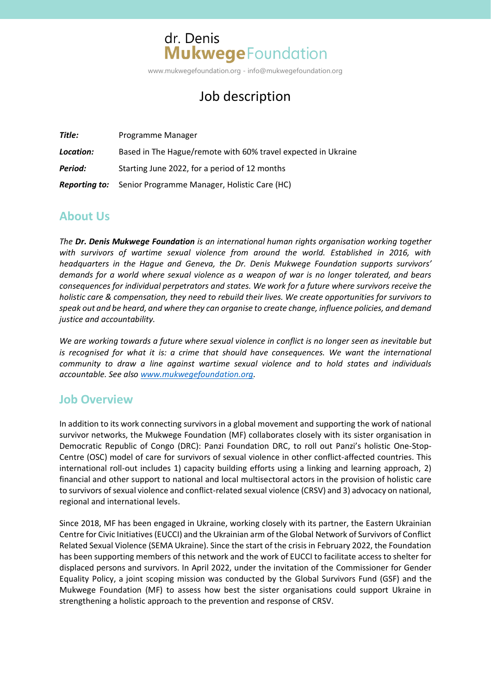# dr. Denis **Mukwege**Foundation

www.mukwegefoundation.org - info@mukwegefoundation.org

# Job description

| Title:    | Programme Manager                                                 |
|-----------|-------------------------------------------------------------------|
| Location: | Based in The Hague/remote with 60% travel expected in Ukraine     |
| Period:   | Starting June 2022, for a period of 12 months                     |
|           | <b>Reporting to:</b> Senior Programme Manager, Holistic Care (HC) |

## **About Us**

*The Dr. Denis Mukwege Foundation is an international human rights organisation working together with survivors of wartime sexual violence from around the world. Established in 2016, with headquarters in the Hague and Geneva, the Dr. Denis Mukwege Foundation supports survivors' demands for a world where sexual violence as a weapon of war is no longer tolerated, and bears consequences for individual perpetrators and states. We work for a future where survivors receive the holistic care & compensation, they need to rebuild their lives. We create opportunities for survivors to speak out and be heard, and where they can organise to create change, influence policies, and demand justice and accountability.*

*We are working towards a future where sexual violence in conflict is no longer seen as inevitable but is recognised for what it is: a crime that should have consequences. We want the international community to draw a line against wartime sexual violence and to hold states and individuals accountable. See also [www.mukwegefoundation.org.](http://www.mukwegefoundation.org/)*

## **Job Overview**

In addition to its work connecting survivors in a global movement and supporting the work of national survivor networks, the Mukwege Foundation (MF) collaborates closely with its sister organisation in Democratic Republic of Congo (DRC): Panzi Foundation DRC, to roll out Panzi's holistic One-Stop-Centre (OSC) model of care for survivors of sexual violence in other conflict-affected countries. This international roll-out includes 1) capacity building efforts using a linking and learning approach, 2) financial and other support to national and local multisectoral actors in the provision of holistic care to survivors of sexual violence and conflict-related sexual violence (CRSV) and 3) advocacy on national, regional and international levels.

Since 2018, MF has been engaged in Ukraine, working closely with its partner, the Eastern Ukrainian Centre for Civic Initiatives (EUCCI) and the Ukrainian arm of the Global Network of Survivors of Conflict Related Sexual Violence (SEMA Ukraine). Since the start of the crisis in February 2022, the Foundation has been supporting members of this network and the work of EUCCI to facilitate access to shelter for displaced persons and survivors. In April 2022, under the invitation of the Commissioner for Gender Equality Policy, a joint scoping mission was conducted by the Global Survivors Fund (GSF) and the Mukwege Foundation (MF) to assess how best the sister organisations could support Ukraine in strengthening a holistic approach to the prevention and response of CRSV.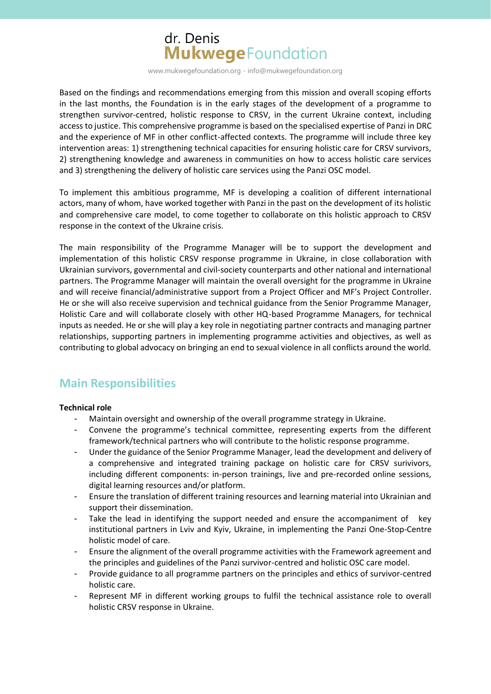# dr. Denis **Mukwege**Foundation

www.mukwegefoundation.org - info@mukwegefoundation.org

Based on the findings and recommendations emerging from this mission and overall scoping efforts in the last months, the Foundation is in the early stages of the development of a programme to strengthen survivor-centred, holistic response to CRSV, in the current Ukraine context, including access to justice. This comprehensive programme is based on the specialised expertise of Panzi in DRC and the experience of MF in other conflict-affected contexts. The programme will include three key intervention areas: 1) strengthening technical capacities for ensuring holistic care for CRSV survivors, 2) strengthening knowledge and awareness in communities on how to access holistic care services and 3) strengthening the delivery of holistic care services using the Panzi OSC model.

To implement this ambitious programme, MF is developing a coalition of different international actors, many of whom, have worked together with Panzi in the past on the development of its holistic and comprehensive care model, to come together to collaborate on this holistic approach to CRSV response in the context of the Ukraine crisis.

The main responsibility of the Programme Manager will be to support the development and implementation of this holistic CRSV response programme in Ukraine, in close collaboration with Ukrainian survivors, governmental and civil-society counterparts and other national and international partners. The Programme Manager will maintain the overall oversight for the programme in Ukraine and will receive financial/administrative support from a Project Officer and MF's Project Controller. He or she will also receive supervision and technical guidance from the Senior Programme Manager, Holistic Care and will collaborate closely with other HQ-based Programme Managers, for technical inputs as needed. He or she will play a key role in negotiating partner contracts and managing partner relationships, supporting partners in implementing programme activities and objectives, as well as contributing to global advocacy on bringing an end to sexual violence in all conflicts around the world.

## **Main Responsibilities**

#### **Technical role**

- Maintain oversight and ownership of the overall programme strategy in Ukraine.
- Convene the programme's technical committee, representing experts from the different framework/technical partners who will contribute to the holistic response programme.
- Under the guidance of the Senior Programme Manager, lead the development and delivery of a comprehensive and integrated training package on holistic care for CRSV surivivors, including different components: in-person trainings, live and pre-recorded online sessions, digital learning resources and/or platform.
- Ensure the translation of different training resources and learning material into Ukrainian and support their dissemination.
- Take the lead in identifying the support needed and ensure the accompaniment of key institutional partners in Lviv and Kyiv, Ukraine, in implementing the Panzi One-Stop-Centre holistic model of care.
- Ensure the alignment of the overall programme activities with the Framework agreement and the principles and guidelines of the Panzi survivor-centred and holistic OSC care model.
- Provide guidance to all programme partners on the principles and ethics of survivor-centred holistic care.
- Represent MF in different working groups to fulfil the technical assistance role to overall holistic CRSV response in Ukraine.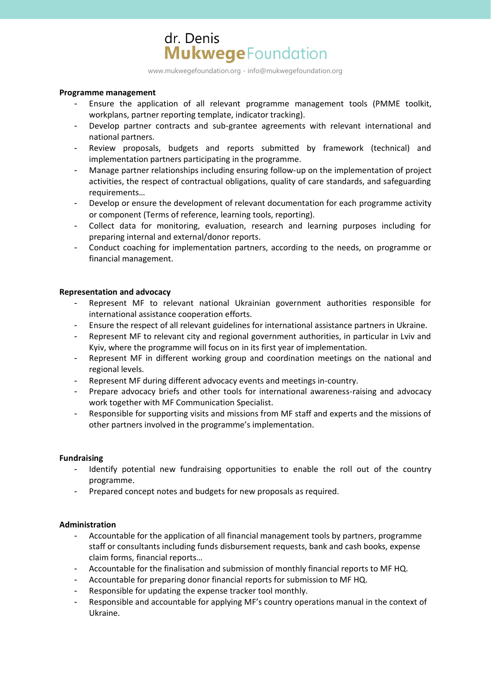## dr. Denis **Mukwege**Foundation

www.mukwegefoundation.org - info@mukwegefoundation.org

#### **Programme management**

- Ensure the application of all relevant programme management tools (PMME toolkit, workplans, partner reporting template, indicator tracking).
- Develop partner contracts and sub-grantee agreements with relevant international and national partners.
- Review proposals, budgets and reports submitted by framework (technical) and implementation partners participating in the programme.
- Manage partner relationships including ensuring follow-up on the implementation of project activities, the respect of contractual obligations, quality of care standards, and safeguarding requirements…
- Develop or ensure the development of relevant documentation for each programme activity or component (Terms of reference, learning tools, reporting).
- Collect data for monitoring, evaluation, research and learning purposes including for preparing internal and external/donor reports.
- Conduct coaching for implementation partners, according to the needs, on programme or financial management.

#### **Representation and advocacy**

- Represent MF to relevant national Ukrainian government authorities responsible for international assistance cooperation efforts.
- Ensure the respect of all relevant guidelines for international assistance partners in Ukraine.
- Represent MF to relevant city and regional government authorities, in particular in Lviv and Kyiv, where the programme will focus on in its first year of implementation.
- Represent MF in different working group and coordination meetings on the national and regional levels.
- Represent MF during different advocacy events and meetings in-country.
- Prepare advocacy briefs and other tools for international awareness-raising and advocacy work together with MF Communication Specialist.
- Responsible for supporting visits and missions from MF staff and experts and the missions of other partners involved in the programme's implementation.

#### **Fundraising**

- Identify potential new fundraising opportunities to enable the roll out of the country programme.
- Prepared concept notes and budgets for new proposals as required.

#### **Administration**

- Accountable for the application of all financial management tools by partners, programme staff or consultants including funds disbursement requests, bank and cash books, expense claim forms, financial reports…
- Accountable for the finalisation and submission of monthly financial reports to MF HQ.
- Accountable for preparing donor financial reports for submission to MF HQ.
- Responsible for updating the expense tracker tool monthly.
- Responsible and accountable for applying MF's country operations manual in the context of Ukraine.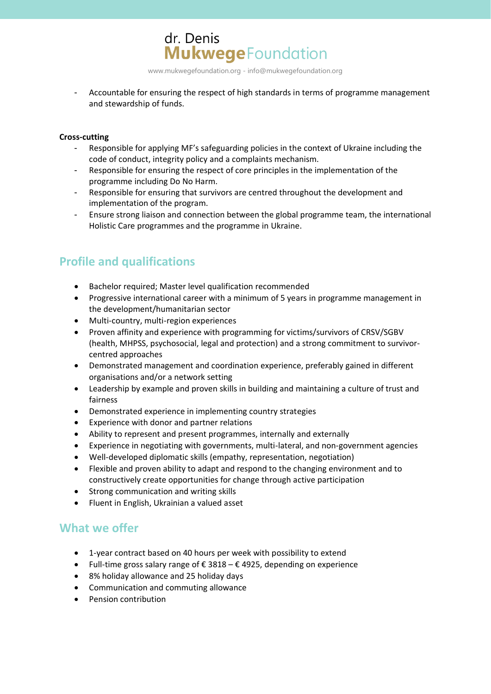www.mukwegefoundation.org - info@mukwegefoundation.org

**Mukwege**Foundation

- Accountable for ensuring the respect of high standards in terms of programme management and stewardship of funds.

#### **Cross-cutting**

- Responsible for applying MF's safeguarding policies in the context of Ukraine including the code of conduct, integrity policy and a complaints mechanism.
- Responsible for ensuring the respect of core principles in the implementation of the programme including Do No Harm.
- Responsible for ensuring that survivors are centred throughout the development and implementation of the program.
- Ensure strong liaison and connection between the global programme team, the international Holistic Care programmes and the programme in Ukraine.

## **Profile and qualifications**

• Bachelor required; Master level qualification recommended

dr. Denis

- Progressive international career with a minimum of 5 years in programme management in the development/humanitarian sector
- Multi-country, multi-region experiences
- Proven affinity and experience with programming for victims/survivors of CRSV/SGBV (health, MHPSS, psychosocial, legal and protection) and a strong commitment to survivorcentred approaches
- Demonstrated management and coordination experience, preferably gained in different organisations and/or a network setting
- Leadership by example and proven skills in building and maintaining a culture of trust and fairness
- Demonstrated experience in implementing country strategies
- Experience with donor and partner relations
- Ability to represent and present programmes, internally and externally
- Experience in negotiating with governments, multi-lateral, and non-government agencies
- Well-developed diplomatic skills (empathy, representation, negotiation)
- Flexible and proven ability to adapt and respond to the changing environment and to constructively create opportunities for change through active participation
- Strong communication and writing skills
- Fluent in English, Ukrainian a valued asset

## **What we offer**

- 1-year contract based on 40 hours per week with possibility to extend
- Full-time gross salary range of  $\epsilon$  3818  $\epsilon$  4925, depending on experience
- 8% holiday allowance and 25 holiday days
- Communication and commuting allowance
- Pension contribution